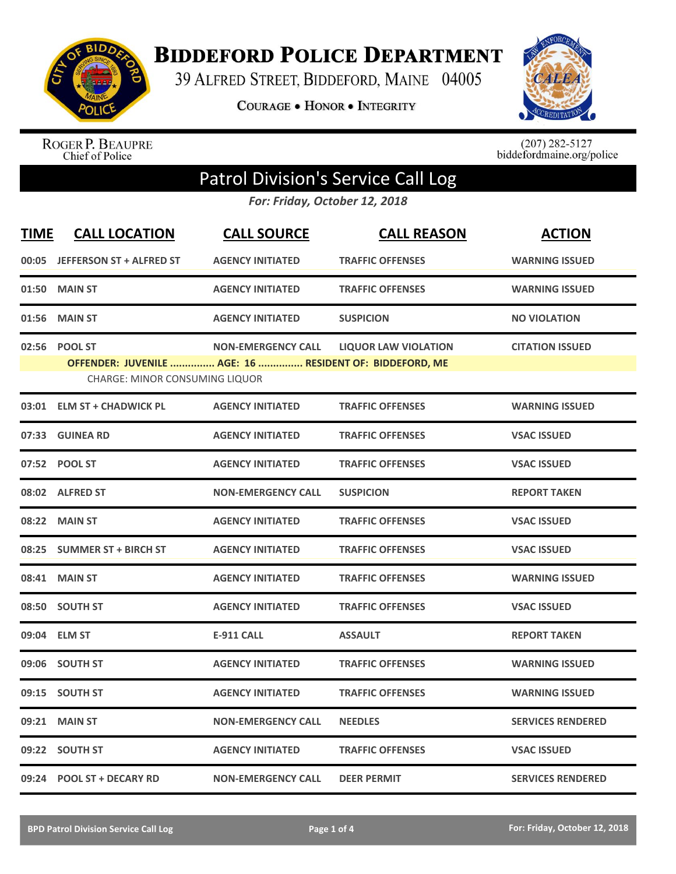

**BIDDEFORD POLICE DEPARTMENT** 

39 ALFRED STREET, BIDDEFORD, MAINE 04005

**COURAGE . HONOR . INTEGRITY** 



ROGER P. BEAUPRE<br>Chief of Police

 $(207)$  282-5127<br>biddefordmaine.org/police

## Patrol Division's Service Call Log

*For: Friday, October 12, 2018*

| <b>TIME</b> | <b>CALL LOCATION</b>                                                                                               | <b>CALL SOURCE</b>        | <b>CALL REASON</b>          | <b>ACTION</b>            |
|-------------|--------------------------------------------------------------------------------------------------------------------|---------------------------|-----------------------------|--------------------------|
|             | 00:05 JEFFERSON ST + ALFRED ST                                                                                     | <b>AGENCY INITIATED</b>   | <b>TRAFFIC OFFENSES</b>     | <b>WARNING ISSUED</b>    |
|             | 01:50 MAIN ST                                                                                                      | <b>AGENCY INITIATED</b>   | <b>TRAFFIC OFFENSES</b>     | <b>WARNING ISSUED</b>    |
| 01:56       | <b>MAIN ST</b>                                                                                                     | <b>AGENCY INITIATED</b>   | <b>SUSPICION</b>            | <b>NO VIOLATION</b>      |
| 02:56       | <b>POOL ST</b><br>OFFENDER: JUVENILE  AGE: 16  RESIDENT OF: BIDDEFORD, ME<br><b>CHARGE: MINOR CONSUMING LIQUOR</b> | <b>NON-EMERGENCY CALL</b> | <b>LIQUOR LAW VIOLATION</b> | <b>CITATION ISSUED</b>   |
|             | 03:01 ELM ST + CHADWICK PL                                                                                         | <b>AGENCY INITIATED</b>   | <b>TRAFFIC OFFENSES</b>     | <b>WARNING ISSUED</b>    |
| 07:33       | <b>GUINEA RD</b>                                                                                                   | <b>AGENCY INITIATED</b>   | <b>TRAFFIC OFFENSES</b>     | <b>VSAC ISSUED</b>       |
|             | 07:52 POOL ST                                                                                                      | <b>AGENCY INITIATED</b>   | <b>TRAFFIC OFFENSES</b>     | <b>VSAC ISSUED</b>       |
|             | 08:02 ALFRED ST                                                                                                    | <b>NON-EMERGENCY CALL</b> | <b>SUSPICION</b>            | <b>REPORT TAKEN</b>      |
|             | 08:22 MAIN ST                                                                                                      | <b>AGENCY INITIATED</b>   | <b>TRAFFIC OFFENSES</b>     | <b>VSAC ISSUED</b>       |
| 08:25       | <b>SUMMER ST + BIRCH ST</b>                                                                                        | <b>AGENCY INITIATED</b>   | <b>TRAFFIC OFFENSES</b>     | <b>VSAC ISSUED</b>       |
|             | 08:41 MAIN ST                                                                                                      | <b>AGENCY INITIATED</b>   | <b>TRAFFIC OFFENSES</b>     | <b>WARNING ISSUED</b>    |
|             | 08:50 SOUTH ST                                                                                                     | <b>AGENCY INITIATED</b>   | <b>TRAFFIC OFFENSES</b>     | <b>VSAC ISSUED</b>       |
|             | 09:04 ELM ST                                                                                                       | <b>E-911 CALL</b>         | <b>ASSAULT</b>              | <b>REPORT TAKEN</b>      |
| 09:06       | <b>SOUTH ST</b>                                                                                                    | <b>AGENCY INITIATED</b>   | <b>TRAFFIC OFFENSES</b>     | <b>WARNING ISSUED</b>    |
| 09:15       | <b>SOUTH ST</b>                                                                                                    | <b>AGENCY INITIATED</b>   | <b>TRAFFIC OFFENSES</b>     | <b>WARNING ISSUED</b>    |
| 09:21       | <b>MAIN ST</b>                                                                                                     | <b>NON-EMERGENCY CALL</b> | <b>NEEDLES</b>              | <b>SERVICES RENDERED</b> |
|             | 09:22 SOUTH ST                                                                                                     | <b>AGENCY INITIATED</b>   | <b>TRAFFIC OFFENSES</b>     | <b>VSAC ISSUED</b>       |
|             | 09:24 POOL ST + DECARY RD                                                                                          | <b>NON-EMERGENCY CALL</b> | <b>DEER PERMIT</b>          | <b>SERVICES RENDERED</b> |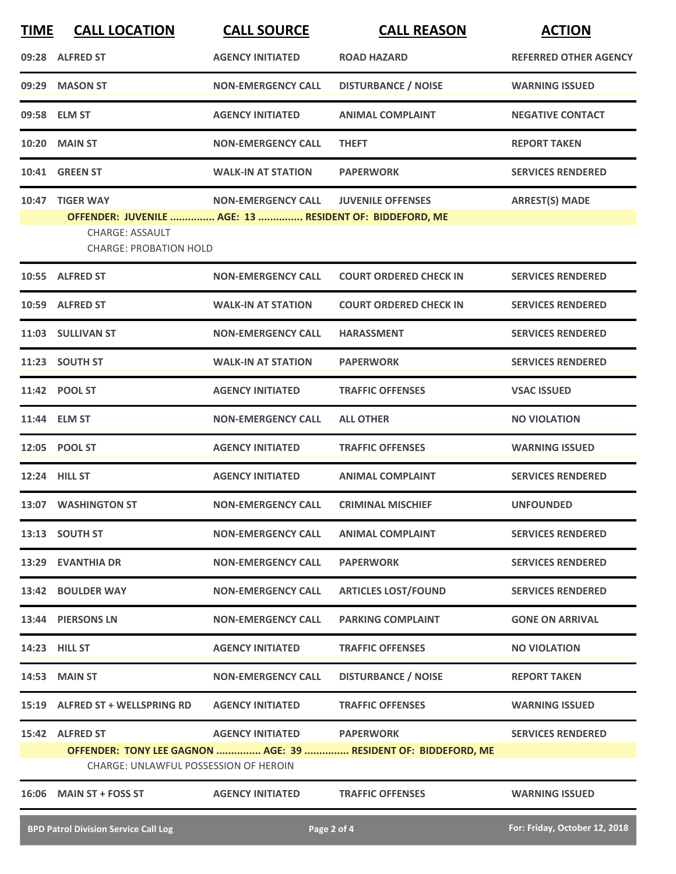| <b>TIME</b> | <b>CALL LOCATION</b>                                                                                                                   | <b>CALL SOURCE</b>        | <b>CALL REASON</b>                                                                 | <b>ACTION</b>                |
|-------------|----------------------------------------------------------------------------------------------------------------------------------------|---------------------------|------------------------------------------------------------------------------------|------------------------------|
|             | 09:28 ALFRED ST                                                                                                                        | <b>AGENCY INITIATED</b>   | <b>ROAD HAZARD</b>                                                                 | <b>REFERRED OTHER AGENCY</b> |
| 09:29       | <b>MASON ST</b>                                                                                                                        | <b>NON-EMERGENCY CALL</b> | <b>DISTURBANCE / NOISE</b>                                                         | <b>WARNING ISSUED</b>        |
|             | 09:58 ELM ST                                                                                                                           | <b>AGENCY INITIATED</b>   | <b>ANIMAL COMPLAINT</b>                                                            | <b>NEGATIVE CONTACT</b>      |
| 10:20       | <b>MAIN ST</b>                                                                                                                         | <b>NON-EMERGENCY CALL</b> | <b>THEFT</b>                                                                       | <b>REPORT TAKEN</b>          |
|             | <b>10:41 GREEN ST</b>                                                                                                                  | <b>WALK-IN AT STATION</b> | <b>PAPERWORK</b>                                                                   | <b>SERVICES RENDERED</b>     |
| 10:47       | <b>TIGER WAY</b><br>OFFENDER: JUVENILE  AGE: 13  RESIDENT OF: BIDDEFORD, ME<br><b>CHARGE: ASSAULT</b><br><b>CHARGE: PROBATION HOLD</b> | <b>NON-EMERGENCY CALL</b> | <b>JUVENILE OFFENSES</b>                                                           | <b>ARREST(S) MADE</b>        |
|             | 10:55 ALFRED ST                                                                                                                        | <b>NON-EMERGENCY CALL</b> | <b>COURT ORDERED CHECK IN</b>                                                      | <b>SERVICES RENDERED</b>     |
|             | 10:59 ALFRED ST                                                                                                                        | <b>WALK-IN AT STATION</b> | <b>COURT ORDERED CHECK IN</b>                                                      | <b>SERVICES RENDERED</b>     |
|             | 11:03 SULLIVAN ST                                                                                                                      | <b>NON-EMERGENCY CALL</b> | <b>HARASSMENT</b>                                                                  | <b>SERVICES RENDERED</b>     |
|             | 11:23 SOUTH ST                                                                                                                         | <b>WALK-IN AT STATION</b> | <b>PAPERWORK</b>                                                                   | <b>SERVICES RENDERED</b>     |
|             | 11:42 POOL ST                                                                                                                          | <b>AGENCY INITIATED</b>   | <b>TRAFFIC OFFENSES</b>                                                            | <b>VSAC ISSUED</b>           |
|             | 11:44 ELM ST                                                                                                                           | <b>NON-EMERGENCY CALL</b> | <b>ALL OTHER</b>                                                                   | <b>NO VIOLATION</b>          |
|             | 12:05 POOL ST                                                                                                                          | <b>AGENCY INITIATED</b>   | <b>TRAFFIC OFFENSES</b>                                                            | <b>WARNING ISSUED</b>        |
|             | 12:24 HILL ST                                                                                                                          | <b>AGENCY INITIATED</b>   | <b>ANIMAL COMPLAINT</b>                                                            | <b>SERVICES RENDERED</b>     |
|             | 13:07 WASHINGTON ST                                                                                                                    | <b>NON-EMERGENCY CALL</b> | <b>CRIMINAL MISCHIEF</b>                                                           | <b>UNFOUNDED</b>             |
|             | 13:13 SOUTH ST                                                                                                                         | <b>NON-EMERGENCY CALL</b> | <b>ANIMAL COMPLAINT</b>                                                            | <b>SERVICES RENDERED</b>     |
|             | 13:29 EVANTHIA DR                                                                                                                      | <b>NON-EMERGENCY CALL</b> | <b>PAPERWORK</b>                                                                   | <b>SERVICES RENDERED</b>     |
|             | 13:42 BOULDER WAY                                                                                                                      | <b>NON-EMERGENCY CALL</b> | <b>ARTICLES LOST/FOUND</b>                                                         | <b>SERVICES RENDERED</b>     |
|             | 13:44 PIERSONS LN                                                                                                                      | <b>NON-EMERGENCY CALL</b> | <b>PARKING COMPLAINT</b>                                                           | <b>GONE ON ARRIVAL</b>       |
|             | 14:23 HILL ST                                                                                                                          | <b>AGENCY INITIATED</b>   | <b>TRAFFIC OFFENSES</b>                                                            | <b>NO VIOLATION</b>          |
|             | 14:53 MAIN ST                                                                                                                          | <b>NON-EMERGENCY CALL</b> | <b>DISTURBANCE / NOISE</b>                                                         | <b>REPORT TAKEN</b>          |
|             | 15:19 ALFRED ST + WELLSPRING RD                                                                                                        | <b>AGENCY INITIATED</b>   | <b>TRAFFIC OFFENSES</b>                                                            | <b>WARNING ISSUED</b>        |
|             | 15:42 ALFRED ST<br>CHARGE: UNLAWFUL POSSESSION OF HEROIN                                                                               | <b>AGENCY INITIATED</b>   | <b>PAPERWORK</b><br>OFFENDER: TONY LEE GAGNON  AGE: 39  RESIDENT OF: BIDDEFORD, ME | <b>SERVICES RENDERED</b>     |
|             | 16:06 MAIN ST + FOSS ST                                                                                                                | <b>AGENCY INITIATED</b>   | <b>TRAFFIC OFFENSES</b>                                                            | <b>WARNING ISSUED</b>        |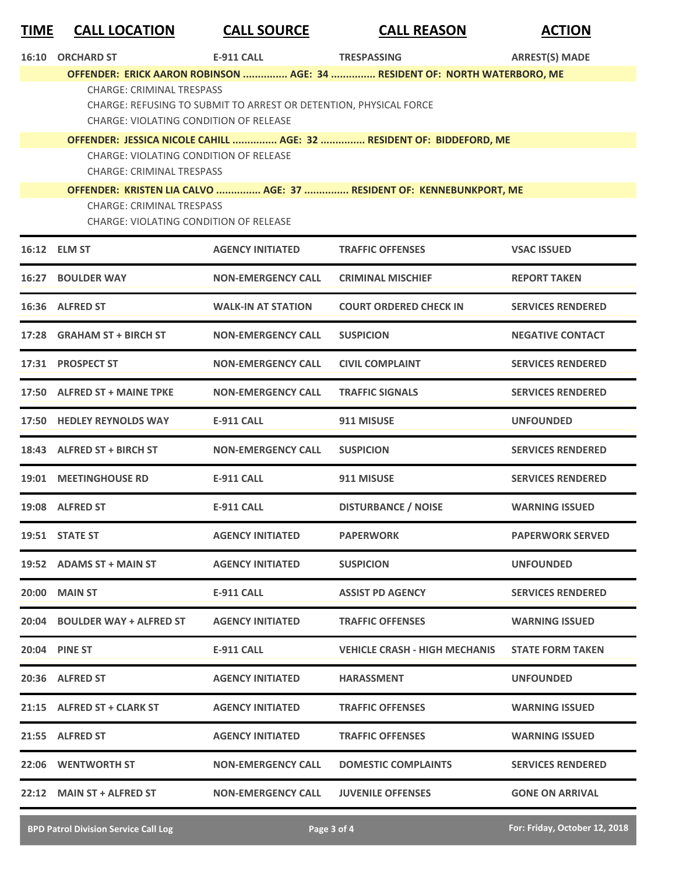| <b>TIME</b> | <b>CALL LOCATION</b>      | <b>CALL SOURCE</b>                                                | <b>CALL REASON</b>                                                        | <b>ACTION</b>         |
|-------------|---------------------------|-------------------------------------------------------------------|---------------------------------------------------------------------------|-----------------------|
| 16:10       | <b>ORCHARD ST</b>         | <b>E-911 CALL</b>                                                 | <b>TRESPASSING</b>                                                        | <b>ARREST(S) MADE</b> |
|             |                           |                                                                   | OFFENDER: ERICK AARON ROBINSON  AGE: 34  RESIDENT OF: NORTH WATERBORO, ME |                       |
|             | CHARGE: CRIMINAL TRESPASS |                                                                   |                                                                           |                       |
|             |                           | CHARGE: REFUSING TO SUBMIT TO ARREST OR DETENTION, PHYSICAL FORCE |                                                                           |                       |
|             |                           | CHARGE: VIOLATING CONDITION OF RELEASE                            |                                                                           |                       |
|             |                           |                                                                   | OFFENDER: JESSICA NICOLE CAHILL  AGE: 32  RESIDENT OF: BIDDEFORD, ME      |                       |
|             |                           | CHARGE: VIOLATING CONDITION OF RELEASE                            |                                                                           |                       |

CHARGE: CRIMINAL TRESPASS

**OFFENDER: KRISTEN LIA CALVO ............... AGE: 37 ............... RESIDENT OF: KENNEBUNKPORT, ME**

CHARGE: CRIMINAL TRESPASS

CHARGE: VIOLATING CONDITION OF RELEASE

|       | 16:12 ELM ST                  | <b>AGENCY INITIATED</b>   | <b>TRAFFIC OFFENSES</b>              | <b>VSAC ISSUED</b>       |
|-------|-------------------------------|---------------------------|--------------------------------------|--------------------------|
|       | <b>16:27 BOULDER WAY</b>      | <b>NON-EMERGENCY CALL</b> | <b>CRIMINAL MISCHIEF</b>             | <b>REPORT TAKEN</b>      |
|       | 16:36 ALFRED ST               | <b>WALK-IN AT STATION</b> | <b>COURT ORDERED CHECK IN</b>        | <b>SERVICES RENDERED</b> |
| 17:28 | <b>GRAHAM ST + BIRCH ST</b>   | <b>NON-EMERGENCY CALL</b> | <b>SUSPICION</b>                     | <b>NEGATIVE CONTACT</b>  |
|       | 17:31 PROSPECT ST             | <b>NON-EMERGENCY CALL</b> | <b>CIVIL COMPLAINT</b>               | <b>SERVICES RENDERED</b> |
|       | 17:50 ALFRED ST + MAINE TPKE  | <b>NON-EMERGENCY CALL</b> | <b>TRAFFIC SIGNALS</b>               | <b>SERVICES RENDERED</b> |
|       | 17:50 HEDLEY REYNOLDS WAY     | <b>E-911 CALL</b>         | 911 MISUSE                           | <b>UNFOUNDED</b>         |
|       | 18:43 ALFRED ST + BIRCH ST    | <b>NON-EMERGENCY CALL</b> | <b>SUSPICION</b>                     | <b>SERVICES RENDERED</b> |
| 19:01 | <b>MEETINGHOUSE RD</b>        | <b>E-911 CALL</b>         | 911 MISUSE                           | <b>SERVICES RENDERED</b> |
|       | 19:08 ALFRED ST               | <b>E-911 CALL</b>         | <b>DISTURBANCE / NOISE</b>           | <b>WARNING ISSUED</b>    |
|       | 19:51 STATE ST                | <b>AGENCY INITIATED</b>   | <b>PAPERWORK</b>                     | <b>PAPERWORK SERVED</b>  |
|       | 19:52 ADAMS ST + MAIN ST      | <b>AGENCY INITIATED</b>   | <b>SUSPICION</b>                     | <b>UNFOUNDED</b>         |
|       | <b>20:00 MAIN ST</b>          | <b>E-911 CALL</b>         | <b>ASSIST PD AGENCY</b>              | <b>SERVICES RENDERED</b> |
|       | 20:04 BOULDER WAY + ALFRED ST | <b>AGENCY INITIATED</b>   | <b>TRAFFIC OFFENSES</b>              | <b>WARNING ISSUED</b>    |
|       | 20:04 PINE ST                 | <b>E-911 CALL</b>         | <b>VEHICLE CRASH - HIGH MECHANIS</b> | <b>STATE FORM TAKEN</b>  |
|       | 20:36 ALFRED ST               | <b>AGENCY INITIATED</b>   | <b>HARASSMENT</b>                    | <b>UNFOUNDED</b>         |
| 21:15 | <b>ALFRED ST + CLARK ST</b>   | <b>AGENCY INITIATED</b>   | <b>TRAFFIC OFFENSES</b>              | <b>WARNING ISSUED</b>    |
| 21:55 | <b>ALFRED ST</b>              | <b>AGENCY INITIATED</b>   | <b>TRAFFIC OFFENSES</b>              | <b>WARNING ISSUED</b>    |
| 22:06 | <b>WENTWORTH ST</b>           | <b>NON-EMERGENCY CALL</b> | <b>DOMESTIC COMPLAINTS</b>           | <b>SERVICES RENDERED</b> |
|       | 22:12 MAIN ST + ALFRED ST     | <b>NON-EMERGENCY CALL</b> | <b>JUVENILE OFFENSES</b>             | <b>GONE ON ARRIVAL</b>   |